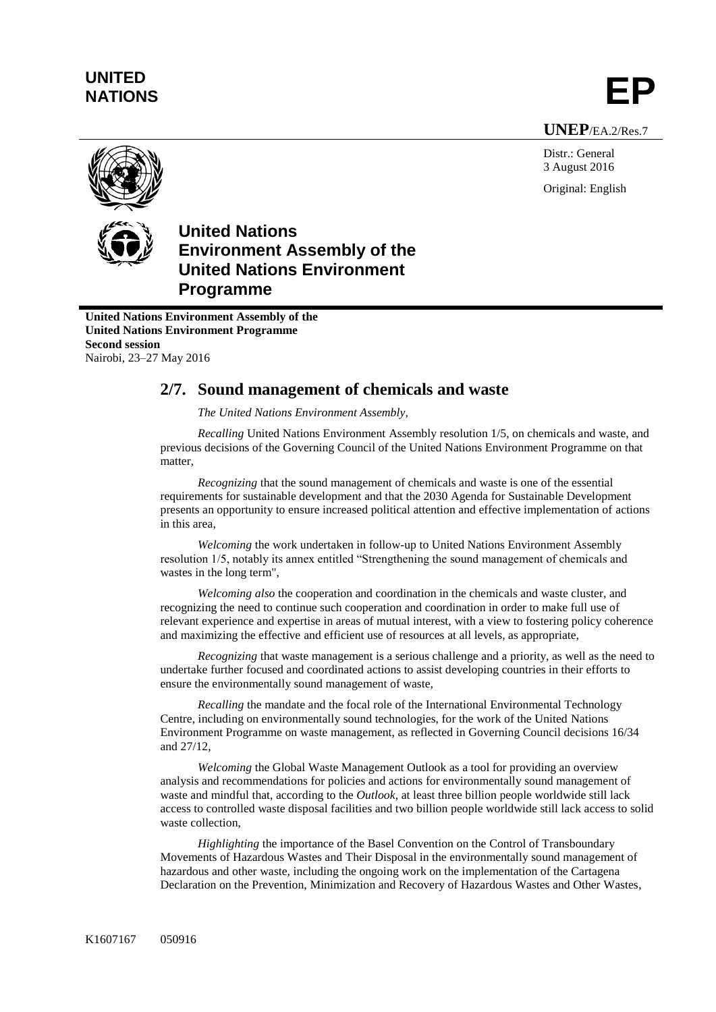# **UNITED** UNITED<br>NATIONS **EP**

**UNEP**/EA.2/Res.7

Distr.: General 3 August 2016 Original: English



## **United Nations Environment Assembly of the United Nations Environment Programme**

**United Nations Environment Assembly of the United Nations Environment Programme Second session** Nairobi, 23–27 May 2016

## **2/7. Sound management of chemicals and waste**

*The United Nations Environment Assembly,*

*Recalling* United Nations Environment Assembly resolution 1/5, on chemicals and waste, and previous decisions of the Governing Council of the United Nations Environment Programme on that matter,

*Recognizing* that the sound management of chemicals and waste is one of the essential requirements for sustainable development and that the 2030 Agenda for Sustainable Development presents an opportunity to ensure increased political attention and effective implementation of actions in this area,

*Welcoming* the work undertaken in follow-up to United Nations Environment Assembly resolution 1/5, notably its annex entitled "Strengthening the sound management of chemicals and wastes in the long term",

*Welcoming also* the cooperation and coordination in the chemicals and waste cluster, and recognizing the need to continue such cooperation and coordination in order to make full use of relevant experience and expertise in areas of mutual interest, with a view to fostering policy coherence and maximizing the effective and efficient use of resources at all levels, as appropriate,

*Recognizing* that waste management is a serious challenge and a priority, as well as the need to undertake further focused and coordinated actions to assist developing countries in their efforts to ensure the environmentally sound management of waste,

*Recalling* the mandate and the focal role of the International Environmental Technology Centre, including on environmentally sound technologies, for the work of the United Nations Environment Programme on waste management, as reflected in Governing Council decisions 16/34 and 27/12,

*Welcoming* the Global Waste Management Outlook as a tool for providing an overview analysis and recommendations for policies and actions for environmentally sound management of waste and mindful that, according to the *Outlook*, at least three billion people worldwide still lack access to controlled waste disposal facilities and two billion people worldwide still lack access to solid waste collection,

*Highlighting* the importance of the Basel Convention on the Control of Transboundary Movements of Hazardous Wastes and Their Disposal in the environmentally sound management of hazardous and other waste, including the ongoing work on the implementation of the Cartagena Declaration on the Prevention, Minimization and Recovery of Hazardous Wastes and Other Wastes,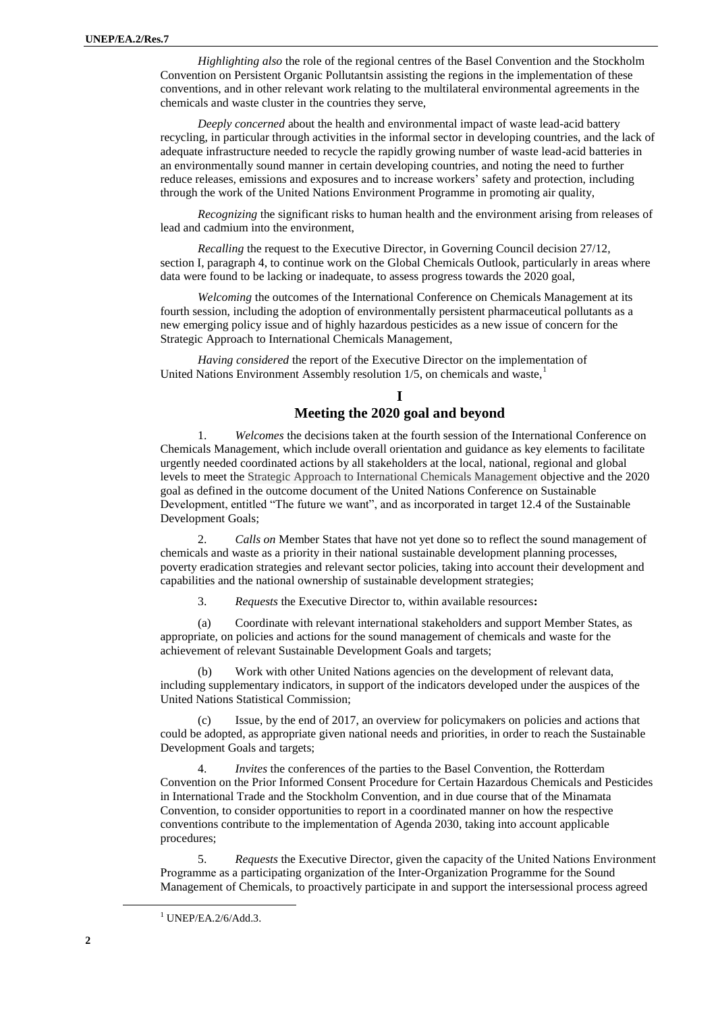*Highlighting also* the role of the regional centres of the Basel Convention and the Stockholm Convention on Persistent Organic Pollutantsin assisting the regions in the implementation of these conventions, and in other relevant work relating to the multilateral environmental agreements in the chemicals and waste cluster in the countries they serve,

*Deeply concerned* about the health and environmental impact of waste lead-acid battery recycling, in particular through activities in the informal sector in developing countries, and the lack of adequate infrastructure needed to recycle the rapidly growing number of waste lead-acid batteries in an environmentally sound manner in certain developing countries, and noting the need to further reduce releases, emissions and exposures and to increase workers' safety and protection, including through the work of the United Nations Environment Programme in promoting air quality,

*Recognizing* the significant risks to human health and the environment arising from releases of lead and cadmium into the environment,

*Recalling* the request to the Executive Director, in Governing Council decision 27/12, section I, paragraph 4, to continue work on the Global Chemicals Outlook, particularly in areas where data were found to be lacking or inadequate, to assess progress towards the 2020 goal,

*Welcoming* the outcomes of the International Conference on Chemicals Management at its fourth session, including the adoption of environmentally persistent pharmaceutical pollutants as a new emerging policy issue and of highly hazardous pesticides as a new issue of concern for the Strategic Approach to International Chemicals Management,

*Having considered* the report of the Executive Director on the implementation of United Nations Environment Assembly resolution  $1/5$ , on chemicals and waste, $\frac{1}{1}$ 

#### **I Meeting the 2020 goal and beyond**

1. *Welcomes* the decisions taken at the fourth session of the International Conference on Chemicals Management, which include overall orientation and guidance as key elements to facilitate urgently needed coordinated actions by all stakeholders at the local, national, regional and global levels to meet the Strategic Approach to International Chemicals Management objective and the 2020 goal as defined in the outcome document of the United Nations Conference on Sustainable Development, entitled "The future we want", and as incorporated in target 12.4 of the Sustainable Development Goals;

2. *Calls on* Member States that have not yet done so to reflect the sound management of chemicals and waste as a priority in their national sustainable development planning processes, poverty eradication strategies and relevant sector policies, taking into account their development and capabilities and the national ownership of sustainable development strategies;

3. *Requests* the Executive Director to, within available resources**:**

(a) Coordinate with relevant international stakeholders and support Member States, as appropriate, on policies and actions for the sound management of chemicals and waste for the achievement of relevant Sustainable Development Goals and targets;

Work with other United Nations agencies on the development of relevant data, including supplementary indicators, in support of the indicators developed under the auspices of the United Nations Statistical Commission;

Issue, by the end of 2017, an overview for policymakers on policies and actions that could be adopted, as appropriate given national needs and priorities, in order to reach the Sustainable Development Goals and targets;

*Invites* the conferences of the parties to the Basel Convention, the Rotterdam Convention on the Prior Informed Consent Procedure for Certain Hazardous Chemicals and Pesticides in International Trade and the Stockholm Convention, and in due course that of the Minamata Convention, to consider opportunities to report in a coordinated manner on how the respective conventions contribute to the implementation of Agenda 2030, taking into account applicable procedures;

5. *Requests* the Executive Director, given the capacity of the United Nations Environment Programme as a participating organization of the Inter-Organization Programme for the Sound Management of Chemicals, to proactively participate in and support the intersessional process agreed

 $\overline{a}$ 

 $1$  UNEP/EA.2/6/Add.3.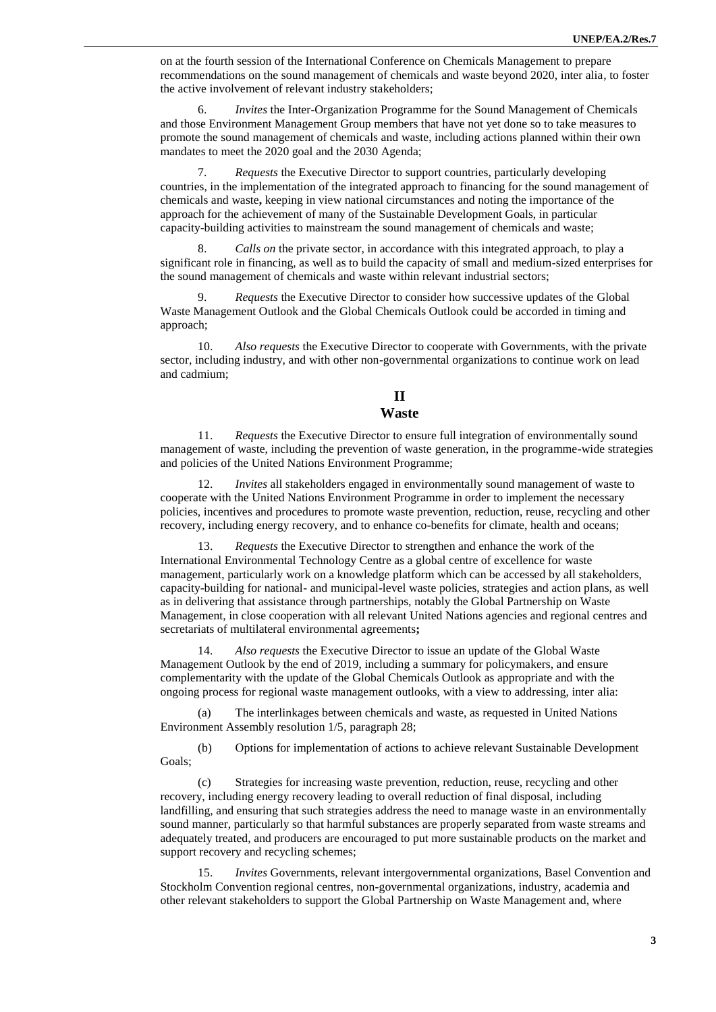on at the fourth session of the International Conference on Chemicals Management to prepare recommendations on the sound management of chemicals and waste beyond 2020, inter alia, to foster the active involvement of relevant industry stakeholders;

6. *Invites* the Inter-Organization Programme for the Sound Management of Chemicals and those Environment Management Group members that have not yet done so to take measures to promote the sound management of chemicals and waste, including actions planned within their own mandates to meet the 2020 goal and the 2030 Agenda;

7. *Requests* the Executive Director to support countries, particularly developing countries, in the implementation of the integrated approach to financing for the sound management of chemicals and waste**,** keeping in view national circumstances and noting the importance of the approach for the achievement of many of the Sustainable Development Goals, in particular capacity-building activities to mainstream the sound management of chemicals and waste;

8. *Calls on* the private sector, in accordance with this integrated approach, to play a significant role in financing, as well as to build the capacity of small and medium-sized enterprises for the sound management of chemicals and waste within relevant industrial sectors;

9. *Requests* the Executive Director to consider how successive updates of the Global Waste Management Outlook and the Global Chemicals Outlook could be accorded in timing and approach;

10. *Also requests* the Executive Director to cooperate with Governments, with the private sector, including industry, and with other non-governmental organizations to continue work on lead and cadmium;

### **II**

#### **Waste**

11. *Requests* the Executive Director to ensure full integration of environmentally sound management of waste, including the prevention of waste generation, in the programme-wide strategies and policies of the United Nations Environment Programme;

12. *Invites* all stakeholders engaged in environmentally sound management of waste to cooperate with the United Nations Environment Programme in order to implement the necessary policies, incentives and procedures to promote waste prevention, reduction, reuse, recycling and other recovery, including energy recovery, and to enhance co-benefits for climate, health and oceans;

13. *Requests* the Executive Director to strengthen and enhance the work of the International Environmental Technology Centre as a global centre of excellence for waste management, particularly work on a knowledge platform which can be accessed by all stakeholders, capacity-building for national- and municipal-level waste policies, strategies and action plans, as well as in delivering that assistance through partnerships, notably the Global Partnership on Waste Management, in close cooperation with all relevant United Nations agencies and regional centres and secretariats of multilateral environmental agreements**;**

14. *Also requests* the Executive Director to issue an update of the Global Waste Management Outlook by the end of 2019, including a summary for policymakers, and ensure complementarity with the update of the Global Chemicals Outlook as appropriate and with the ongoing process for regional waste management outlooks, with a view to addressing, inter alia:

(a) The interlinkages between chemicals and waste, as requested in United Nations Environment Assembly resolution 1/5, paragraph 28;

(b) Options for implementation of actions to achieve relevant Sustainable Development Goals;

(c) Strategies for increasing waste prevention, reduction, reuse, recycling and other recovery, including energy recovery leading to overall reduction of final disposal, including landfilling, and ensuring that such strategies address the need to manage waste in an environmentally sound manner, particularly so that harmful substances are properly separated from waste streams and adequately treated, and producers are encouraged to put more sustainable products on the market and support recovery and recycling schemes;

15. *Invites* Governments, relevant intergovernmental organizations, Basel Convention and Stockholm Convention regional centres, non-governmental organizations, industry, academia and other relevant stakeholders to support the Global Partnership on Waste Management and, where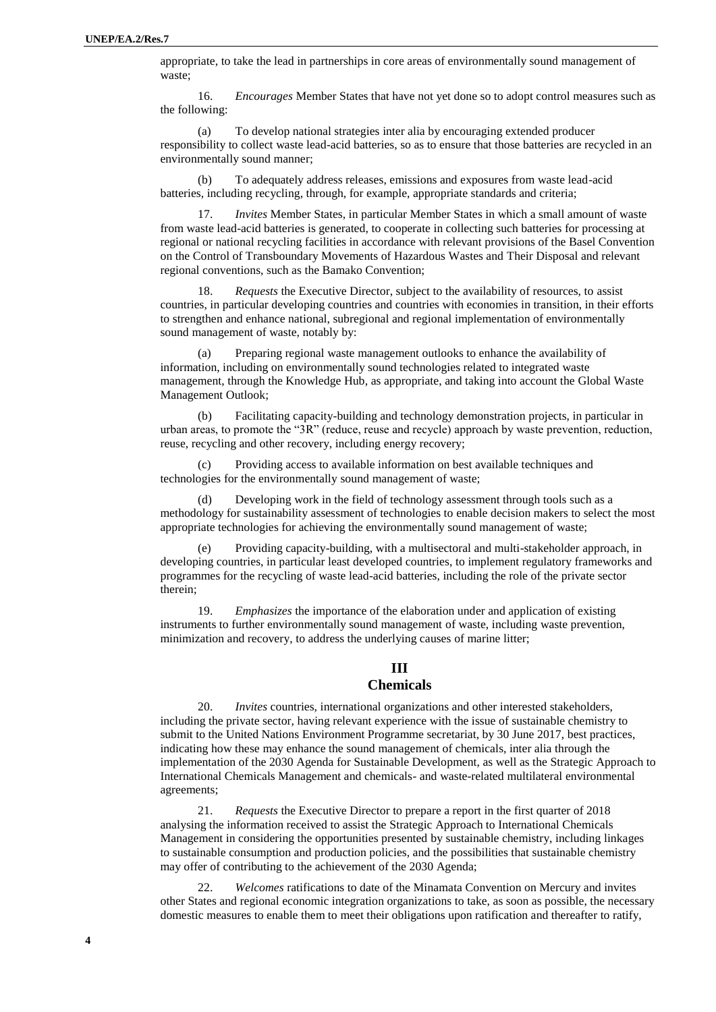appropriate, to take the lead in partnerships in core areas of environmentally sound management of waste;

16. *Encourages* Member States that have not yet done so to adopt control measures such as the following:

(a) To develop national strategies inter alia by encouraging extended producer responsibility to collect waste lead-acid batteries, so as to ensure that those batteries are recycled in an environmentally sound manner;

(b) To adequately address releases, emissions and exposures from waste lead-acid batteries, including recycling, through, for example, appropriate standards and criteria;

17. *Invites* Member States, in particular Member States in which a small amount of waste from waste lead-acid batteries is generated, to cooperate in collecting such batteries for processing at regional or national recycling facilities in accordance with relevant provisions of the Basel Convention on the Control of Transboundary Movements of Hazardous Wastes and Their Disposal and relevant regional conventions, such as the Bamako Convention;

18. *Requests* the Executive Director, subject to the availability of resources, to assist countries, in particular developing countries and countries with economies in transition, in their efforts to strengthen and enhance national, subregional and regional implementation of environmentally sound management of waste, notably by:

(a) Preparing regional waste management outlooks to enhance the availability of information, including on environmentally sound technologies related to integrated waste management, through the Knowledge Hub, as appropriate, and taking into account the Global Waste Management Outlook;

(b) Facilitating capacity-building and technology demonstration projects, in particular in urban areas, to promote the "3R" (reduce, reuse and recycle) approach by waste prevention, reduction, reuse, recycling and other recovery, including energy recovery;

Providing access to available information on best available techniques and technologies for the environmentally sound management of waste;

(d) Developing work in the field of technology assessment through tools such as a methodology for sustainability assessment of technologies to enable decision makers to select the most appropriate technologies for achieving the environmentally sound management of waste;

(e) Providing capacity-building, with a multisectoral and multi-stakeholder approach, in developing countries, in particular least developed countries, to implement regulatory frameworks and programmes for the recycling of waste lead-acid batteries, including the role of the private sector therein;

19. *Emphasizes* the importance of the elaboration under and application of existing instruments to further environmentally sound management of waste, including waste prevention, minimization and recovery, to address the underlying causes of marine litter;

## **III**

#### **Chemicals**

20. *Invites* countries, international organizations and other interested stakeholders, including the private sector, having relevant experience with the issue of sustainable chemistry to submit to the United Nations Environment Programme secretariat, by 30 June 2017, best practices, indicating how these may enhance the sound management of chemicals, inter alia through the implementation of the 2030 Agenda for Sustainable Development, as well as the Strategic Approach to International Chemicals Management and chemicals- and waste-related multilateral environmental agreements;

21. *Requests* the Executive Director to prepare a report in the first quarter of 2018 analysing the information received to assist the Strategic Approach to International Chemicals Management in considering the opportunities presented by sustainable chemistry, including linkages to sustainable consumption and production policies, and the possibilities that sustainable chemistry may offer of contributing to the achievement of the 2030 Agenda;

22. *Welcomes* ratifications to date of the Minamata Convention on Mercury and invites other States and regional economic integration organizations to take, as soon as possible, the necessary domestic measures to enable them to meet their obligations upon ratification and thereafter to ratify,